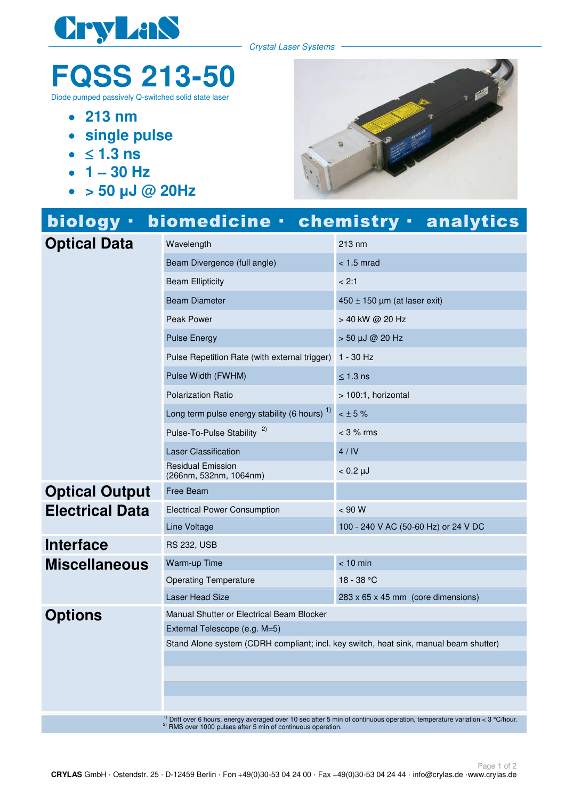

Crystal Laser Systems

## **FQSS 213-50**

Diode pumped passively Q-switched solid state laser

- **213 nm**
- **single pulse**
- $\bullet$   $\leq$  1.3 ns
- $\cdot$  1 30 Hz
- **> 50 µJ @ 20Hz**



|                        |                                                                                       | biology · biomedicine · chemistry · analytics                                                                                         |
|------------------------|---------------------------------------------------------------------------------------|---------------------------------------------------------------------------------------------------------------------------------------|
| <b>Optical Data</b>    | Wavelength                                                                            | 213 nm                                                                                                                                |
|                        | Beam Divergence (full angle)                                                          | $<$ 1.5 mrad                                                                                                                          |
|                        | <b>Beam Ellipticity</b>                                                               | < 2:1                                                                                                                                 |
|                        | <b>Beam Diameter</b>                                                                  | $450 \pm 150$ µm (at laser exit)                                                                                                      |
|                        | Peak Power                                                                            | > 40 kW @ 20 Hz                                                                                                                       |
|                        | <b>Pulse Energy</b>                                                                   | $> 50 \mu J \omega 20 Hz$                                                                                                             |
|                        | Pulse Repetition Rate (with external trigger)                                         | 1 - 30 Hz                                                                                                                             |
|                        | Pulse Width (FWHM)                                                                    | $\leq$ 1.3 ns                                                                                                                         |
|                        | <b>Polarization Ratio</b>                                                             | > 100:1, horizontal                                                                                                                   |
|                        | Long term pulse energy stability (6 hours) <sup>1)</sup>                              | $< \pm 5\%$                                                                                                                           |
|                        | Pulse-To-Pulse Stability <sup>2)</sup>                                                | $<$ 3 % rms                                                                                                                           |
|                        | <b>Laser Classification</b>                                                           | 4/IV                                                                                                                                  |
|                        | <b>Residual Emission</b><br>(266nm, 532nm, 1064nm)                                    | $< 0.2 \mu J$                                                                                                                         |
| <b>Optical Output</b>  | Free Beam                                                                             |                                                                                                                                       |
| <b>Electrical Data</b> | <b>Electrical Power Consumption</b>                                                   | < 90 W                                                                                                                                |
|                        | Line Voltage                                                                          | 100 - 240 V AC (50-60 Hz) or 24 V DC                                                                                                  |
| <b>Interface</b>       | <b>RS 232, USB</b>                                                                    |                                                                                                                                       |
| <b>Miscellaneous</b>   | Warm-up Time                                                                          | $< 10$ min                                                                                                                            |
|                        | <b>Operating Temperature</b>                                                          | 18 - 38 °C                                                                                                                            |
|                        | <b>Laser Head Size</b>                                                                | 283 x 65 x 45 mm (core dimensions)                                                                                                    |
| <b>Options</b>         | Manual Shutter or Electrical Beam Blocker                                             |                                                                                                                                       |
|                        | External Telescope (e.g. M=5)                                                         |                                                                                                                                       |
|                        | Stand Alone system (CDRH compliant; incl. key switch, heat sink, manual beam shutter) |                                                                                                                                       |
|                        |                                                                                       |                                                                                                                                       |
|                        |                                                                                       |                                                                                                                                       |
|                        |                                                                                       |                                                                                                                                       |
|                        |                                                                                       | <sup>1)</sup> Drift over 6 hours, energy averaged over 10 sec after 5 min of continuous operation, temperature variation < 3 °C/hour. |

 $^{2)}$  RMS over 1000 pulses after 5 min of continuous operation.